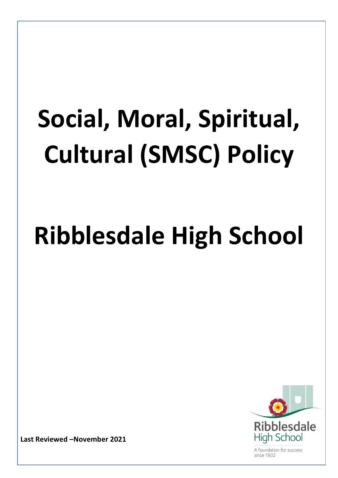# **Social, Moral, Spiritual, Cultural (SMSC) Policy**

# **Ribblesdale High School**



A foundation for success  $sinc<sub>9</sub>$  1932

**Last Reviewed –November 2021**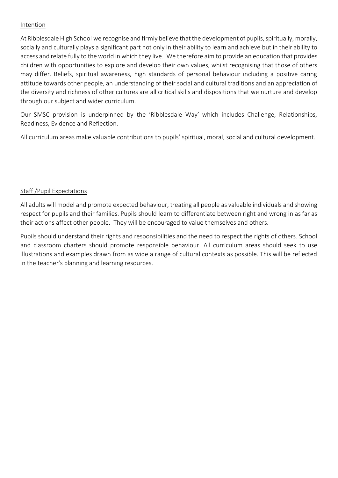#### Intention

At Ribblesdale High School we recognise and firmly believe that the development of pupils, spiritually, morally, socially and culturally plays a significant part not only in their ability to learn and achieve but in their ability to access and relate fully to the world in which they live. We therefore aim to provide an education that provides children with opportunities to explore and develop their own values, whilst recognising that those of others may differ. Beliefs, spiritual awareness, high standards of personal behaviour including a positive caring attitude towards other people, an understanding of their social and cultural traditions and an appreciation of the diversity and richness of other cultures are all critical skills and dispositions that we nurture and develop through our subject and wider curriculum.

Our SMSC provision is underpinned by the 'Ribblesdale Way' which includes Challenge, Relationships, Readiness, Evidence and Reflection.

All curriculum areas make valuable contributions to pupils' spiritual, moral, social and cultural development.

#### Staff /Pupil Expectations

All adults will model and promote expected behaviour, treating all people as valuable individuals and showing respect for pupils and their families. Pupils should learn to differentiate between right and wrong in as far as their actions affect other people. They will be encouraged to value themselves and others.

Pupils should understand their rights and responsibilities and the need to respect the rights of others. School and classroom charters should promote responsible behaviour. All curriculum areas should seek to use illustrations and examples drawn from as wide a range of cultural contexts as possible. This will be reflected in the teacher's planning and learning resources.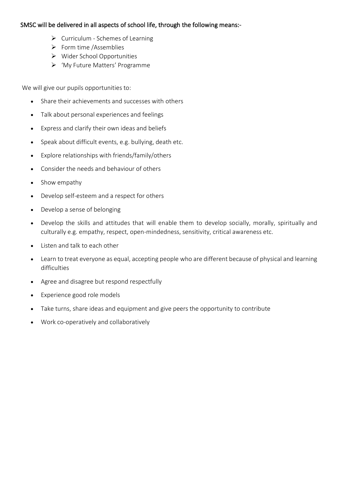#### SMSC will be delivered in all aspects of school life, through the following means:-

- ➢ Curriculum Schemes of Learning
- ➢ Form time /Assemblies
- ➢ Wider School Opportunities
- ➢ 'My Future Matters' Programme

We will give our pupils opportunities to:

- Share their achievements and successes with others
- Talk about personal experiences and feelings
- Express and clarify their own ideas and beliefs
- Speak about difficult events, e.g. bullying, death etc.
- Explore relationships with friends/family/others
- Consider the needs and behaviour of others
- Show empathy
- Develop self-esteem and a respect for others
- Develop a sense of belonging
- Develop the skills and attitudes that will enable them to develop socially, morally, spiritually and culturally e.g. empathy, respect, open-mindedness, sensitivity, critical awareness etc.
- Listen and talk to each other
- Learn to treat everyone as equal, accepting people who are different because of physical and learning difficulties
- Agree and disagree but respond respectfully
- Experience good role models
- Take turns, share ideas and equipment and give peers the opportunity to contribute
- Work co-operatively and collaboratively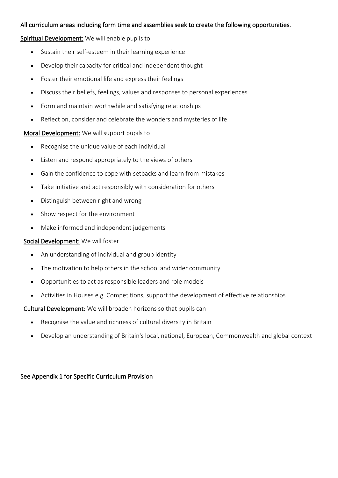#### All curriculum areas including form time and assemblies seek to create the following opportunities.

#### Spiritual Development: We will enable pupils to

- Sustain their self-esteem in their learning experience
- Develop their capacity for critical and independent thought
- Foster their emotional life and express their feelings
- Discuss their beliefs, feelings, values and responses to personal experiences
- Form and maintain worthwhile and satisfying relationships
- Reflect on, consider and celebrate the wonders and mysteries of life

#### Moral Development: We will support pupils to

- Recognise the unique value of each individual
- Listen and respond appropriately to the views of others
- Gain the confidence to cope with setbacks and learn from mistakes
- Take initiative and act responsibly with consideration for others
- Distinguish between right and wrong
- Show respect for the environment
- Make informed and independent judgements

#### Social Development: We will foster

- An understanding of individual and group identity
- The motivation to help others in the school and wider community
- Opportunities to act as responsible leaders and role models
- Activities in Houses e.g. Competitions, support the development of effective relationships

Cultural Development: We will broaden horizons so that pupils can

- Recognise the value and richness of cultural diversity in Britain
- Develop an understanding of Britain's local, national, European, Commonwealth and global context

#### See Appendix 1 for Specific Curriculum Provision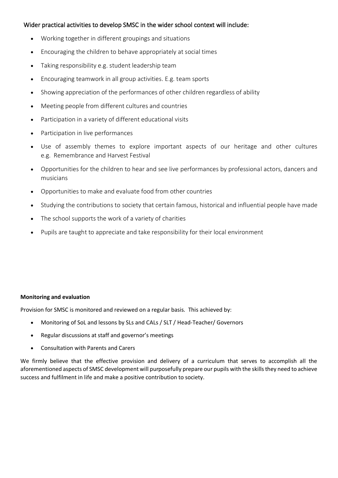#### Wider practical activities to develop SMSC in the wider school context will include:

- Working together in different groupings and situations
- Encouraging the children to behave appropriately at social times
- Taking responsibility e.g. student leadership team
- Encouraging teamwork in all group activities. E.g. team sports
- Showing appreciation of the performances of other children regardless of ability
- Meeting people from different cultures and countries
- Participation in a variety of different educational visits
- Participation in live performances
- Use of assembly themes to explore important aspects of our heritage and other cultures e.g. Remembrance and Harvest Festival
- Opportunities for the children to hear and see live performances by professional actors, dancers and musicians
- Opportunities to make and evaluate food from other countries
- Studying the contributions to society that certain famous, historical and influential people have made
- The school supports the work of a variety of charities
- Pupils are taught to appreciate and take responsibility for their local environment

#### **Monitoring and evaluation**

Provision for SMSC is monitored and reviewed on a regular basis. This achieved by:

- Monitoring of SoL and lessons by SLs and CALs / SLT / Head-Teacher/ Governors
- Regular discussions at staff and governor's meetings
- Consultation with Parents and Carers

We firmly believe that the effective provision and delivery of a curriculum that serves to accomplish all the aforementioned aspects of SMSC development will purposefully prepare our pupils with the skills they need to achieve success and fulfilment in life and make a positive contribution to society.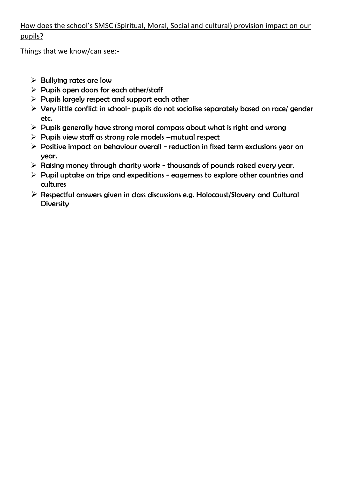## How does the school's SMSC (Spiritual, Moral, Social and cultural) provision impact on our pupils?

Things that we know/can see:-

- $\triangleright$  Bullying rates are low
- $\triangleright$  Pupils open doors for each other/staff
- $\triangleright$  Pupils largely respect and support each other
- ➢ Very little conflict in school- pupils do not socialise separately based on race/ gender etc.
- $\triangleright$  Pupils generally have strong moral compass about what is right and wrong
- ➢ Pupils view staff as strong role models –mutual respect
- $\triangleright$  Positive impact on behaviour overall reduction in fixed term exclusions year on year.
- ➢ Raising money through charity work thousands of pounds raised every year.
- $\triangleright$  Pupil uptake on trips and expeditions eagerness to explore other countries and cultures
- ➢ Respectful answers given in class discussions e.g. Holocaust/Slavery and Cultural **Diversity**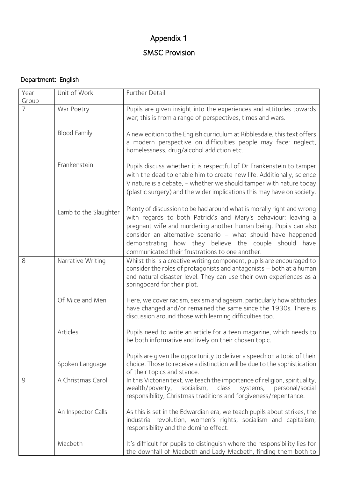# Appendix 1

# SMSC Provision

## Department: English

| Year<br>Group | Unit of Work          | Further Detail                                                                                                                                                                                                                                                                                                                                                                          |
|---------------|-----------------------|-----------------------------------------------------------------------------------------------------------------------------------------------------------------------------------------------------------------------------------------------------------------------------------------------------------------------------------------------------------------------------------------|
| 7             | War Poetry            | Pupils are given insight into the experiences and attitudes towards<br>war; this is from a range of perspectives, times and wars.                                                                                                                                                                                                                                                       |
|               | <b>Blood Family</b>   | A new edition to the English curriculum at Ribblesdale, this text offers<br>a modern perspective on difficulties people may face: neglect,<br>homelessness, drug/alcohol addiction etc.                                                                                                                                                                                                 |
|               | Frankenstein          | Pupils discuss whether it is respectful of Dr Frankenstein to tamper<br>with the dead to enable him to create new life. Additionally, science<br>V nature is a debate, - whether we should tamper with nature today<br>(plastic surgery) and the wider implications this may have on society.                                                                                           |
|               | Lamb to the Slaughter | Plenty of discussion to be had around what is morally right and wrong<br>with regards to both Patrick's and Mary's behaviour: leaving a<br>pregnant wife and murdering another human being. Pupils can also<br>consider an alternative scenario - what should have happened<br>demonstrating how they believe the couple should have<br>communicated their frustrations to one another. |
| 8             | Narrative Writing     | Whilst this is a creative writing component, pupils are encouraged to<br>consider the roles of protagonists and antagonists - both at a human<br>and natural disaster level. They can use their own experiences as a<br>springboard for their plot.                                                                                                                                     |
|               | Of Mice and Men       | Here, we cover racism, sexism and ageism, particularly how attitudes<br>have changed and/or remained the same since the 1930s. There is<br>discussion around those with learning difficulties too.                                                                                                                                                                                      |
|               | Articles              | Pupils need to write an article for a teen magazine, which needs to<br>be both informative and lively on their chosen topic.                                                                                                                                                                                                                                                            |
|               | Spoken Language       | Pupils are given the opportunity to deliver a speech on a topic of their<br>choice. Those to receive a distinction will be due to the sophistication<br>of their topics and stance.                                                                                                                                                                                                     |
| $\mathcal{Q}$ | A Christmas Carol     | In this Victorian text, we teach the importance of religion, spirituality,<br>wealth/poverty, socialism,<br>class<br>systems,<br>personal/social<br>responsibility, Christmas traditions and forgiveness/repentance.                                                                                                                                                                    |
|               | An Inspector Calls    | As this is set in the Edwardian era, we teach pupils about strikes, the<br>industrial revolution, women's rights, socialism and capitalism,<br>responsibility and the domino effect.                                                                                                                                                                                                    |
|               | Macbeth               | It's difficult for pupils to distinguish where the responsibility lies for<br>the downfall of Macbeth and Lady Macbeth, finding them both to                                                                                                                                                                                                                                            |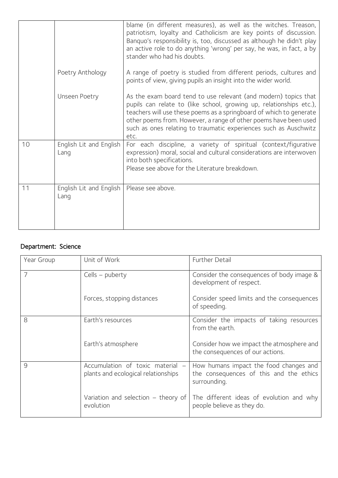|    |                                 | blame (in different measures), as well as the witches. Treason,<br>patriotism, loyalty and Catholicism are key points of discussion.<br>Banquo's responsibility is, too, discussed as although he didn't play<br>an active role to do anything 'wrong' per say, he was, in fact, a by<br>stander who had his doubts.                                          |
|----|---------------------------------|---------------------------------------------------------------------------------------------------------------------------------------------------------------------------------------------------------------------------------------------------------------------------------------------------------------------------------------------------------------|
|    | Poetry Anthology                | A range of poetry is studied from different periods, cultures and<br>points of view, giving pupils an insight into the wider world.                                                                                                                                                                                                                           |
|    | <b>Unseen Poetry</b>            | As the exam board tend to use relevant (and modern) topics that<br>pupils can relate to (like school, growing up, relationships etc.),<br>teachers will use these poems as a springboard of which to generate<br>other poems from. However, a range of other poems have been used<br>such as ones relating to traumatic experiences such as Auschwitz<br>etc. |
| 10 | English Lit and English<br>Lang | For each discipline, a variety of spiritual (context/figurative<br>expression) moral, social and cultural considerations are interwoven<br>into both specifications.<br>Please see above for the Literature breakdown.                                                                                                                                        |
| 11 | English Lit and English<br>Lang | Please see above.                                                                                                                                                                                                                                                                                                                                             |

## Department: Science

| Year Group    | Unit of Work                                                            | Further Detail                                                                                    |
|---------------|-------------------------------------------------------------------------|---------------------------------------------------------------------------------------------------|
| 7             | Cells – puberty                                                         | Consider the consequences of body image &<br>development of respect.                              |
|               | Forces, stopping distances                                              | Consider speed limits and the consequences<br>of speeding.                                        |
| 8             | Earth's resources                                                       | Consider the impacts of taking resources<br>from the earth.                                       |
|               | Earth's atmosphere                                                      | Consider how we impact the atmosphere and<br>the consequences of our actions.                     |
| $\mathcal{Q}$ | Accumulation of toxic material -<br>plants and ecological relationships | How humans impact the food changes and<br>the consequences of this and the ethics<br>surrounding. |
|               | Variation and selection $-$ theory of<br>evolution                      | The different ideas of evolution and why<br>people believe as they do.                            |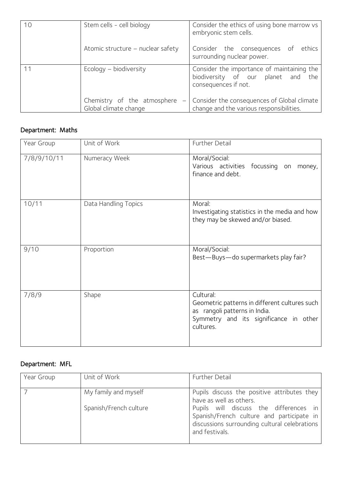| 10 | Stem cells - cell biology                                                        | Consider the ethics of using bone marrow vs<br>embryonic stem cells.                                     |
|----|----------------------------------------------------------------------------------|----------------------------------------------------------------------------------------------------------|
|    | Atomic structure – nuclear safety                                                | ethics<br>Consider the consequences of<br>surrounding nuclear power.                                     |
| 11 | Ecology - biodiversity                                                           | Consider the importance of maintaining the<br>biodiversity of our planet and the<br>consequences if not. |
|    | Chemistry of the atmosphere<br>$\overline{\phantom{0}}$<br>Global climate change | Consider the consequences of Global climate<br>change and the various responsibilities.                  |

## Department: Maths

| Year Group  | Unit of Work         | Further Detail                                                                                                                                     |
|-------------|----------------------|----------------------------------------------------------------------------------------------------------------------------------------------------|
| 7/8/9/10/11 | Numeracy Week        | Moral/Social:<br>Various activities focussing on<br>money,<br>finance and debt.                                                                    |
| 10/11       | Data Handling Topics | Moral:<br>Investigating statistics in the media and how<br>they may be skewed and/or biased.                                                       |
| 9/10        | Proportion           | Moral/Social:<br>Best-Buys-do supermarkets play fair?                                                                                              |
| 7/8/9       | Shape                | Cultural:<br>Geometric patterns in different cultures such<br>as rangoli patterns in India.<br>Symmetry and its significance in other<br>cultures. |

## Department: MFL

| Year Group | Unit of Work           | Further Detail                                                                                                                                         |
|------------|------------------------|--------------------------------------------------------------------------------------------------------------------------------------------------------|
|            | My family and myself   | Pupils discuss the positive attributes they<br>have as well as others.                                                                                 |
|            | Spanish/French culture | Pupils will discuss the differences in<br>Spanish/French culture and participate in<br>discussions surrounding cultural celebrations<br>and festivals. |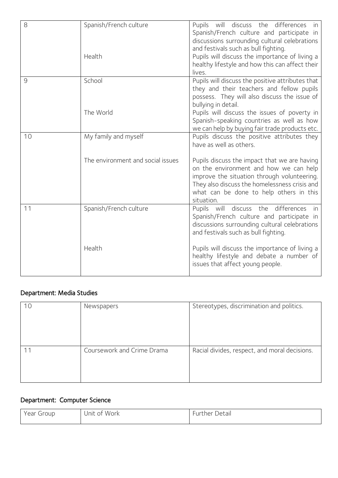| 8  | Spanish/French culture<br>Health                          | Pupils will discuss the differences in<br>Spanish/French culture and participate in<br>discussions surrounding cultural celebrations<br>and festivals such as bull fighting.<br>Pupils will discuss the importance of living a<br>healthy lifestyle and how this can affect their<br>lives.                               |
|----|-----------------------------------------------------------|---------------------------------------------------------------------------------------------------------------------------------------------------------------------------------------------------------------------------------------------------------------------------------------------------------------------------|
| 9  | School<br>The World                                       | Pupils will discuss the positive attributes that<br>they and their teachers and fellow pupils<br>possess. They will also discuss the issue of<br>bullying in detail.<br>Pupils will discuss the issues of poverty in<br>Spanish-speaking countries as well as how<br>we can help by buying fair trade products etc.       |
| 10 | My family and myself<br>The environment and social issues | Pupils discuss the positive attributes they<br>have as well as others.<br>Pupils discuss the impact that we are having<br>on the environment and how we can help<br>improve the situation through volunteering.<br>They also discuss the homelessness crisis and<br>what can be done to help others in this<br>situation. |
| 11 | Spanish/French culture<br>Health                          | Pupils will discuss the differences<br>in<br>Spanish/French culture and participate in<br>discussions surrounding cultural celebrations<br>and festivals such as bull fighting.<br>Pupils will discuss the importance of living a<br>healthy lifestyle and debate a number of<br>issues that affect young people.         |
|    |                                                           |                                                                                                                                                                                                                                                                                                                           |

## Department: Media Studies

| 10 | Newspapers                 | Stereotypes, discrimination and politics.     |
|----|----------------------------|-----------------------------------------------|
| 11 | Coursework and Crime Drama | Racial divides, respect, and moral decisions. |

## Department: Computer Science

| Year<br>Group | Work<br>Init<br>. റ+<br>$\sim$ $\sim$ $\sim$ $\sim$ $\sim$ $\sim$ $\sim$ | Jetail<br>ner.<br>u<br>$ -$ |
|---------------|--------------------------------------------------------------------------|-----------------------------|
|               |                                                                          |                             |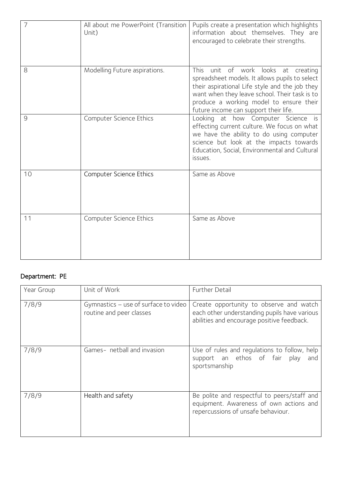| 7  | All about me PowerPoint (Transition<br>Unit) | Pupils create a presentation which highlights<br>information about themselves. They are<br>encouraged to celebrate their strengths.                                                                                                                                                |
|----|----------------------------------------------|------------------------------------------------------------------------------------------------------------------------------------------------------------------------------------------------------------------------------------------------------------------------------------|
| 8  | Modelling Future aspirations.                | unit of work<br>This<br>looks at creating<br>spreadsheet models. It allows pupils to select<br>their aspirational Life style and the job they<br>want when they leave school. Their task is to<br>produce a working model to ensure their<br>future income can support their life. |
| 9  | Computer Science Ethics                      | Looking at how Computer Science is<br>effecting current culture. We focus on what<br>we have the ability to do using computer<br>science but look at the impacts towards<br>Education, Social, Environmental and Cultural<br>issues.                                               |
| 10 | Computer Science Ethics                      | Same as Above                                                                                                                                                                                                                                                                      |
| 11 | Computer Science Ethics                      | Same as Above                                                                                                                                                                                                                                                                      |

## Department: PE

| Year Group | Unit of Work                                                     | Further Detail                                                                                                                        |
|------------|------------------------------------------------------------------|---------------------------------------------------------------------------------------------------------------------------------------|
| 7/8/9      | Gymnastics – use of surface to video<br>routine and peer classes | Create opportunity to observe and watch<br>each other understanding pupils have various<br>abilities and encourage positive feedback. |
| 7/8/9      | Games- netball and invasion                                      | Use of rules and regulations to follow, help<br>support an ethos of fair play<br>and<br>sportsmanship                                 |
| 7/8/9      | Health and safety                                                | Be polite and respectful to peers/staff and<br>equipment. Awareness of own actions and<br>repercussions of unsafe behaviour.          |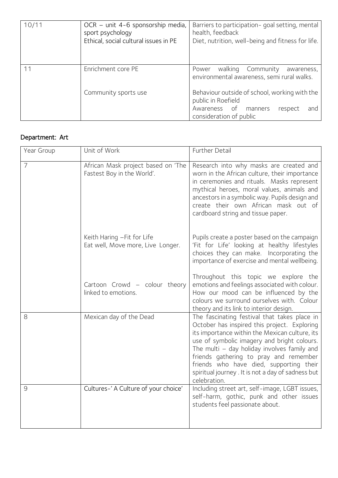| 10/11 | OCR – unit 4-6 sponsorship media,<br>sport psychology<br>Ethical, social cultural issues in PE | Barriers to participation-goal setting, mental<br>health, feedback<br>Diet, nutrition, well-being and fitness for life. |
|-------|------------------------------------------------------------------------------------------------|-------------------------------------------------------------------------------------------------------------------------|
| 11    | Enrichment core PE                                                                             | walking Community<br>Power<br>awareness,<br>environmental awareness, semi rural walks.                                  |
|       | Community sports use                                                                           | Behaviour outside of school, working with the<br>public in Roefield                                                     |
|       |                                                                                                | Awareness of manners<br>respect<br>and<br>consideration of public                                                       |

## Department: Art

| Year Group     | Unit of Work                                                     | Further Detail                                                                                                                                                                                                                                                                                                                                                                                         |
|----------------|------------------------------------------------------------------|--------------------------------------------------------------------------------------------------------------------------------------------------------------------------------------------------------------------------------------------------------------------------------------------------------------------------------------------------------------------------------------------------------|
| 7              | African Mask project based on 'The<br>Fastest Boy in the World'. | Research into why masks are created and<br>worn in the African culture, their importance<br>in ceremonies and rituals. Masks represent<br>mythical heroes, moral values, animals and<br>ancestors in a symbolic way. Pupils design and<br>create their own African mask out of<br>cardboard string and tissue paper.                                                                                   |
|                | Keith Haring - Fit for Life<br>Eat well, Move more, Live Longer. | Pupils create a poster based on the campaign<br>'Fit for Life' looking at healthy lifestyles<br>choices they can make. Incorporating the<br>importance of exercise and mental wellbeing.                                                                                                                                                                                                               |
|                | Cartoon Crowd - colour theory<br>linked to emotions.             | Throughout this topic we explore the<br>emotions and feelings associated with colour.<br>How our mood can be influenced by the<br>colours we surround ourselves with. Colour<br>theory and its link to interior design.                                                                                                                                                                                |
| 8              | Mexican day of the Dead                                          | The fascinating festival that takes place in<br>October has inspired this project. Exploring<br>its importance within the Mexican culture, its<br>use of symbolic imagery and bright colours.<br>The multi - day holiday involves family and<br>friends gathering to pray and remember<br>friends who have died, supporting their<br>spiritual journey. It is not a day of sadness but<br>celebration. |
| $\overline{9}$ | Cultures-' A Culture of your choice'                             | Including street art, self-image, LGBT issues,<br>self-harm, gothic, punk and other issues<br>students feel passionate about.                                                                                                                                                                                                                                                                          |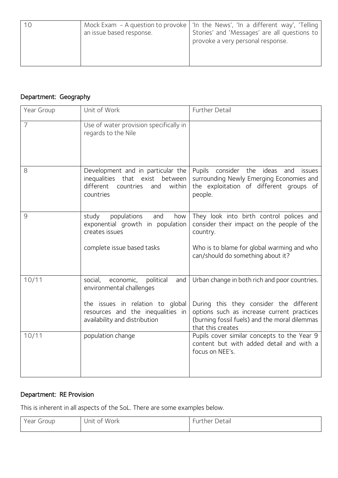|  | an issue based response. | Mock Exam - A question to provoke   'In the News', 'In a different way', 'Telling  <br>Stories' and 'Messages' are all questions to<br>provoke a very personal response. |
|--|--------------------------|--------------------------------------------------------------------------------------------------------------------------------------------------------------------------|
|--|--------------------------|--------------------------------------------------------------------------------------------------------------------------------------------------------------------------|

## Department: Geography

| Year Group | Unit of Work                                                                                                                                                                   | Further Detail                                                                                                                                                                                               |
|------------|--------------------------------------------------------------------------------------------------------------------------------------------------------------------------------|--------------------------------------------------------------------------------------------------------------------------------------------------------------------------------------------------------------|
| 7          | Use of water provision specifically in<br>regards to the Nile                                                                                                                  |                                                                                                                                                                                                              |
| 8          | Development and in particular the<br>inequalities that exist<br>between<br>different<br>within<br>countries<br>and<br>countries                                                | Pupils consider the<br>ideas<br>and<br><i>issues</i><br>surrounding Newly Emerging Economies and<br>the exploitation of different groups of<br>people.                                                       |
| 9          | populations<br>study<br>and<br>how<br>exponential growth in population<br>creates issues<br>complete issue based tasks                                                         | They look into birth control polices and<br>consider their impact on the people of the<br>country.<br>Who is to blame for global warming and who<br>can/should do something about it?                        |
| 10/11      | social,<br>economic,<br>political<br>and<br>environmental challenges<br>the issues in relation to global<br>resources and the inequalities in<br>availability and distribution | Urban change in both rich and poor countries.<br>During this they consider the different<br>options such as increase current practices<br>(burning fossil fuels) and the moral dilemmas<br>that this creates |
| 10/11      | population change                                                                                                                                                              | Pupils cover similar concepts to the Year 9<br>content but with added detail and with a<br>focus on NEE's.                                                                                                   |

## Department: RE Provision

This is inherent in all aspects of the SoL. There are some examples below.

| Group<br>rear | Work<br>Unit<br>0T | Detail<br>ner.<br>ur: |
|---------------|--------------------|-----------------------|
|               |                    |                       |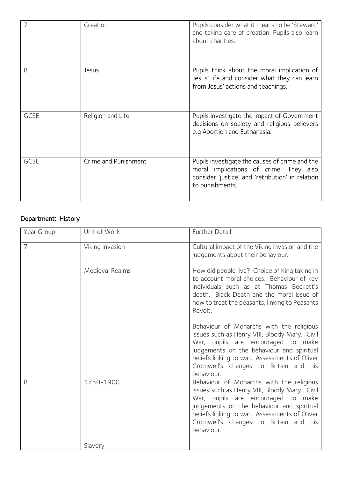|             | Creation             | Pupils consider what it means to be 'Steward'<br>and taking care of creation. Pupils also learn<br>about charities.                                             |
|-------------|----------------------|-----------------------------------------------------------------------------------------------------------------------------------------------------------------|
| 8           | Jesus                | Pupils think about the moral implication of<br>Jesus' life and consider what they can learn<br>from Jesus' actions and teachings.                               |
| <b>GCSE</b> | Religion and Life    | Pupils investigate the impact of Government<br>decisions on society and religious believers<br>e.g Abortion and Euthanasia.                                     |
| <b>GCSE</b> | Crime and Punishment | Pupils investigate the causes of crime and the<br>moral implications of crime. They also<br>consider 'justice' and 'retribution' in relation<br>to punishments. |

## Department: History

| Year Group | Unit of Work    | Further Detail                                                                                                                                                                                                                                                                       |
|------------|-----------------|--------------------------------------------------------------------------------------------------------------------------------------------------------------------------------------------------------------------------------------------------------------------------------------|
| 7          | Viking invasion | Cultural impact of the Viking invasion and the<br>judgements about their behaviour.                                                                                                                                                                                                  |
|            | Medieval Realms | How did people live? Choice of King taking in<br>to account moral choices. Behaviour of key<br>individuals such as at Thomas Beckett's<br>death. Black Death and the moral issue of<br>how to treat the peasants, linking to Peasants<br>Revolt.                                     |
|            |                 | Behaviour of Monarchs with the religious<br>issues such as Henry VIII, Bloody Mary. Civil<br>War, pupils are encouraged to make<br>judgements on the behaviour and spiritual<br>beliefs linking to war. Assessments of Oliver<br>Cromwell's changes to Britain and his<br>behaviour. |
| 8          | 1750-1900       | Behaviour of Monarchs with the religious<br>issues such as Henry VIII, Bloody Mary. Civil<br>War, pupils are encouraged to make<br>judgements on the behaviour and spiritual<br>beliefs linking to war. Assessments of Oliver<br>Cromwell's changes to Britain and his<br>behaviour. |
|            | Slavery         |                                                                                                                                                                                                                                                                                      |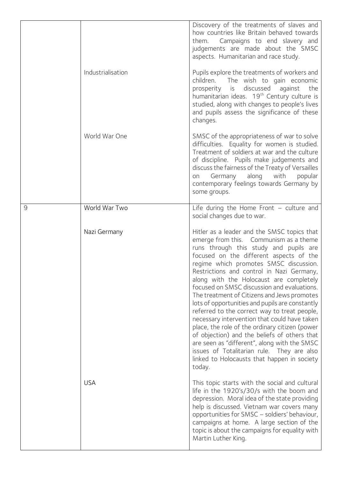|   |                   | Discovery of the treatments of slaves and<br>how countries like Britain behaved towards<br>Campaigns to end slavery and<br>them.<br>judgements are made about the SMSC<br>aspects. Humanitarian and race study.                                                                                                                                                                                                                                                                                                                                                                                                                                                                                                                                                                                                        |
|---|-------------------|------------------------------------------------------------------------------------------------------------------------------------------------------------------------------------------------------------------------------------------------------------------------------------------------------------------------------------------------------------------------------------------------------------------------------------------------------------------------------------------------------------------------------------------------------------------------------------------------------------------------------------------------------------------------------------------------------------------------------------------------------------------------------------------------------------------------|
|   | Industrialisation | Pupils explore the treatments of workers and<br>children. The wish to gain economic<br>is<br>discussed<br>against<br>prosperity<br>the<br>humanitarian ideas. 19 <sup>th</sup> Century culture is<br>studied, along with changes to people's lives<br>and pupils assess the significance of these<br>changes.                                                                                                                                                                                                                                                                                                                                                                                                                                                                                                          |
|   | World War One     | SMSC of the appropriateness of war to solve<br>difficulties. Equality for women is studied.<br>Treatment of soldiers at war and the culture<br>of discipline. Pupils make judgements and<br>discuss the fairness of the Treaty of Versailles<br>along with<br>Germany<br>popular<br>on<br>contemporary feelings towards Germany by<br>some groups.                                                                                                                                                                                                                                                                                                                                                                                                                                                                     |
| 9 | World War Two     | Life during the Home Front $-$ culture and<br>social changes due to war.                                                                                                                                                                                                                                                                                                                                                                                                                                                                                                                                                                                                                                                                                                                                               |
|   | Nazi Germany      | Hitler as a leader and the SMSC topics that<br>emerge from this. Communism as a theme<br>runs through this study and pupils are<br>focused on the different aspects of the<br>regime which promotes SMSC discussion.<br>Restrictions and control in Nazi Germany,<br>along with the Holocaust are completely<br>focused on SMSC discussion and evaluations.<br>The treatment of Citizens and Jews promotes<br>lots of opportunities and pupils are constantly<br>referred to the correct way to treat people,<br>necessary intervention that could have taken<br>place, the role of the ordinary citizen (power<br>of objection) and the beliefs of others that<br>are seen as "different", along with the SMSC<br>issues of Totalitarian rule. They are also<br>linked to Holocausts that happen in society<br>today. |
|   | <b>USA</b>        | This topic starts with the social and cultural<br>life in the 1920's/30/s with the boom and<br>depression. Moral idea of the state providing<br>help is discussed. Vietnam war covers many<br>opportunities for SMSC - soldiers' behaviour,<br>campaigns at home. A large section of the<br>topic is about the campaigns for equality with<br>Martin Luther King.                                                                                                                                                                                                                                                                                                                                                                                                                                                      |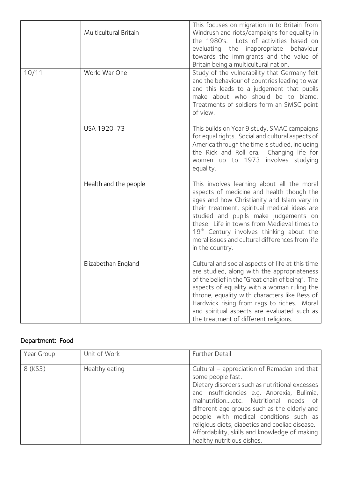|       | Multicultural Britain | This focuses on migration in to Britain from<br>Windrush and riots/campaigns for equality in<br>the 1980's. Lots of activities based on<br>evaluating the inappropriate behaviour<br>towards the immigrants and the value of<br>Britain being a multicultural nation.                                                                                                                                        |
|-------|-----------------------|--------------------------------------------------------------------------------------------------------------------------------------------------------------------------------------------------------------------------------------------------------------------------------------------------------------------------------------------------------------------------------------------------------------|
| 10/11 | World War One         | Study of the vulnerability that Germany felt<br>and the behaviour of countries leading to war<br>and this leads to a judgement that pupils<br>make about who should be to blame.<br>Treatments of soldiers form an SMSC point<br>of view.                                                                                                                                                                    |
|       | USA 1920-73           | This builds on Year 9 study, SMAC campaigns<br>for equal rights. Social and cultural aspects of<br>America through the time is studied, including<br>the Rick and Roll era. Changing life for<br>women up to 1973<br>involves studying<br>equality.                                                                                                                                                          |
|       | Health and the people | This involves learning about all the moral<br>aspects of medicine and health though the<br>ages and how Christianity and Islam vary in<br>their treatment, spiritual medical ideas are<br>studied and pupils make judgements on<br>these. Life in towns from Medieval times to<br>19 <sup>th</sup> Century involves thinking about the<br>moral issues and cultural differences from life<br>in the country. |
|       | Elizabethan England   | Cultural and social aspects of life at this time<br>are studied, along with the appropriateness<br>of the belief in the "Great chain of being". The<br>aspects of equality with a woman ruling the<br>throne, equality with characters like Bess of<br>Hardwick rising from rags to riches. Moral<br>and spiritual aspects are evaluated such as<br>the treatment of different religions.                    |

# Department: Food

| Year Group | Unit of Work   | Further Detail                                                                                                                                                                                                                                                                                                                                                                                                                         |
|------------|----------------|----------------------------------------------------------------------------------------------------------------------------------------------------------------------------------------------------------------------------------------------------------------------------------------------------------------------------------------------------------------------------------------------------------------------------------------|
| 8 (KS3)    | Healthy eating | Cultural – appreciation of Ramadan and that<br>some people fast.<br>Dietary disorders such as nutritional excesses<br>and insufficiencies e.g. Anorexia, Bulimia,<br>malnutritionetc. Nutritional needs of<br>different age groups such as the elderly and<br>people with medical conditions such as<br>religious diets, diabetics and coeliac disease.<br>Affordability, skills and knowledge of making<br>healthy nutritious dishes. |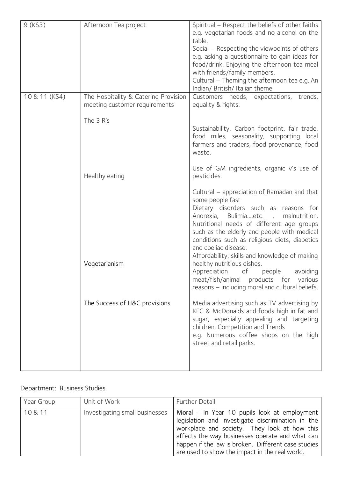| Afternoon Tea project         | Spiritual – Respect the beliefs of other faiths<br>e.g. vegetarian foods and no alcohol on the<br>table.<br>Social – Respecting the viewpoints of others<br>e.g. asking a questionnaire to gain ideas for<br>food/drink. Enjoying the afternoon tea meal<br>with friends/family members.<br>Cultural - Theming the afternoon tea e.g. An<br>Indian/ British/ Italian theme |
|-------------------------------|----------------------------------------------------------------------------------------------------------------------------------------------------------------------------------------------------------------------------------------------------------------------------------------------------------------------------------------------------------------------------|
| meeting customer requirements | Customers needs, expectations, trends,<br>equality & rights.                                                                                                                                                                                                                                                                                                               |
| The 3 R's                     | Sustainability, Carbon footprint, fair trade,<br>food miles, seasonality, supporting local<br>farmers and traders, food provenance, food<br>waste.                                                                                                                                                                                                                         |
| Healthy eating                | Use of GM ingredients, organic v's use of<br>pesticides.                                                                                                                                                                                                                                                                                                                   |
|                               | Cultural – appreciation of Ramadan and that<br>some people fast<br>Dietary disorders such as reasons for<br>Anorexia, Bulimiaetc., malnutrition.<br>Nutritional needs of different age groups<br>such as the elderly and people with medical<br>conditions such as religious diets, diabetics<br>and coeliac disease.<br>Affordability, skills and knowledge of making     |
| Vegetarianism                 | healthy nutritious dishes.<br>Appreciation<br>of<br>avoiding<br>people<br>meat/fish/animal products for<br>various<br>reasons - including moral and cultural beliefs.                                                                                                                                                                                                      |
| The Success of H&C provisions | Media advertising such as TV advertising by<br>KFC & McDonalds and foods high in fat and<br>sugar, especially appealing and targeting<br>children. Competition and Trends<br>e.g. Numerous coffee shops on the high<br>street and retail parks.                                                                                                                            |
|                               | The Hospitality & Catering Provision                                                                                                                                                                                                                                                                                                                                       |

## Department: Business Studies

| Year Group | Unit of Work                   | Further Detail                                                                                                                                                                                                                                                                                                |
|------------|--------------------------------|---------------------------------------------------------------------------------------------------------------------------------------------------------------------------------------------------------------------------------------------------------------------------------------------------------------|
| 10 & 11    | Investigating small businesses | Moral - In Year 10 pupils look at employment<br>legislation and investigate discrimination in the<br>workplace and society. They look at how this<br>affects the way businesses operate and what can<br>happen if the law is broken. Different case studies<br>are used to show the impact in the real world. |